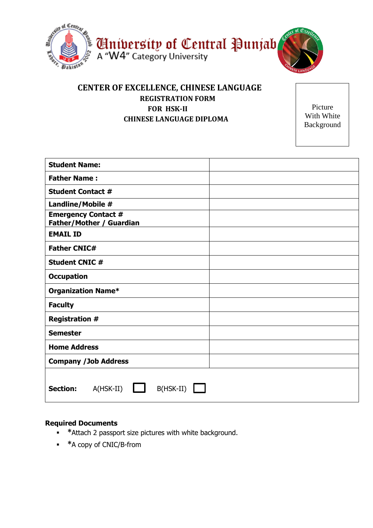

## **CENTER OF EXCELLENCE, CHINESE LANGUAGE REGISTRATION FORM FOR HSK-II CHINESE LANGUAGE DIPLOMA**

Picture With White Background

| <b>Student Name:</b>                                          |  |
|---------------------------------------------------------------|--|
| <b>Father Name:</b>                                           |  |
| <b>Student Contact #</b>                                      |  |
| Landline/Mobile #                                             |  |
| <b>Emergency Contact #</b><br><b>Father/Mother / Guardian</b> |  |
| <b>EMAIL ID</b>                                               |  |
| <b>Father CNIC#</b>                                           |  |
| <b>Student CNIC #</b>                                         |  |
| <b>Occupation</b>                                             |  |
| <b>Organization Name*</b>                                     |  |
| <b>Faculty</b>                                                |  |
| <b>Registration #</b>                                         |  |
| <b>Semester</b>                                               |  |
| <b>Home Address</b>                                           |  |
| <b>Company /Job Address</b>                                   |  |
| B(HSK-II)<br><b>Section:</b><br>$A(HSK-II)$                   |  |

## **Required Documents**

- **\***Attach 2 passport size pictures with white background.
- **\***A copy of CNIC/B-from